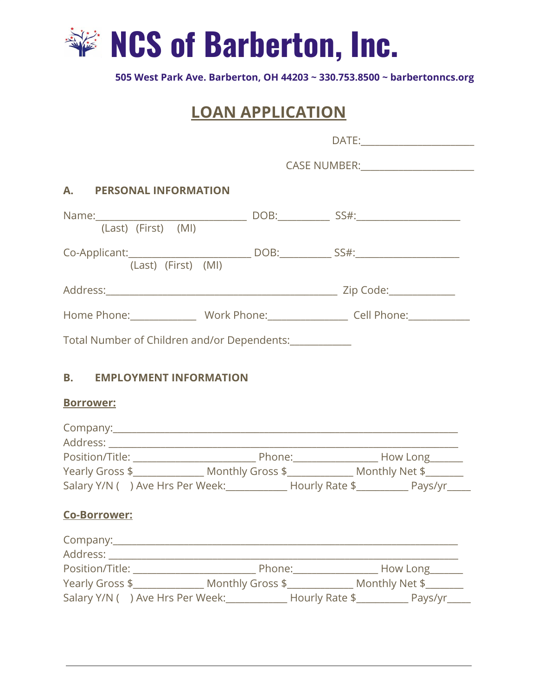

**505 West Park Ave. Barberton, OH 44203 ~ 330.753.8500 ~ barbertonncs.org**

# **LOAN APPLICATION**

| A. PERSONAL INFORMATION |                                                                                                                                                                                                 |
|-------------------------|-------------------------------------------------------------------------------------------------------------------------------------------------------------------------------------------------|
|                         |                                                                                                                                                                                                 |
|                         |                                                                                                                                                                                                 |
| (Last) (First) (MI)     |                                                                                                                                                                                                 |
|                         |                                                                                                                                                                                                 |
|                         |                                                                                                                                                                                                 |
| <b>Borrower:</b>        |                                                                                                                                                                                                 |
|                         |                                                                                                                                                                                                 |
|                         |                                                                                                                                                                                                 |
|                         | Yearly Gross \$_________________________Monthly Gross \$__________________________ Monthly Net \$___________<br>Salary Y/N () Ave Hrs Per Week: ___________ Hourly Rate \$_________ Pays/yr____ |
| <b>Co-Borrower:</b>     |                                                                                                                                                                                                 |
|                         |                                                                                                                                                                                                 |
|                         |                                                                                                                                                                                                 |
|                         |                                                                                                                                                                                                 |
|                         | Salary Y/N () Ave Hrs Per Week: ____________ Hourly Rate \$__________ Pays/yr____                                                                                                               |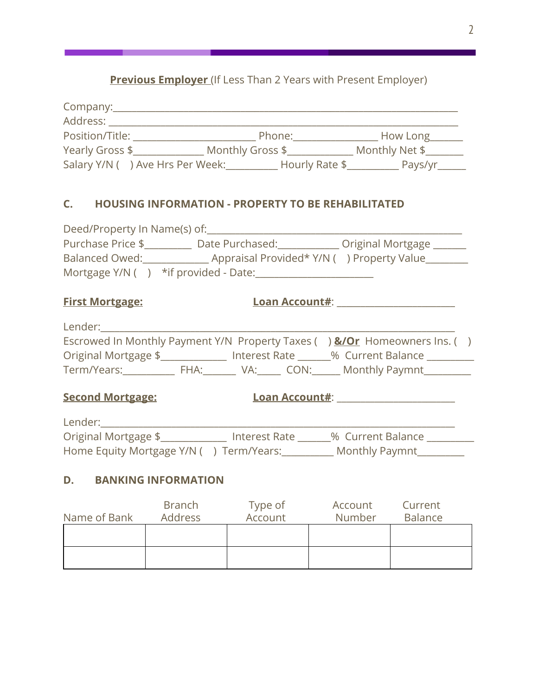### **Previous Employer** (If Less Than 2 Years with Present Employer)

| Company:                         |                  |                |
|----------------------------------|------------------|----------------|
| Address:                         |                  |                |
| Position/Title:                  | Phone:           | How Long       |
| Yearly Gross \$                  | Monthly Gross \$ | Monthly Net \$ |
| Salary Y/N ( ) Ave Hrs Per Week: | Hourly Rate \$   | Pays/yr        |

#### **C. HOUSING INFORMATION - PROPERTY TO BE REHABILITATED**

| Deed/Property In Name(s) of:             |                                            |                   |
|------------------------------------------|--------------------------------------------|-------------------|
| Purchase Price \$                        | Date Purchased:                            | Original Mortgage |
| <b>Balanced Owed:</b>                    | Appraisal Provided* Y/N ( ) Property Value |                   |
| Mortgage $Y/N$ ( ) * if provided - Date: |                                            |                   |

**First Mortgage: Loan Account#**: \_\_\_\_\_\_\_\_\_\_\_\_\_\_\_\_\_\_\_\_\_\_\_\_\_

| Lender:              |      |               |      |                                                                                      |  |
|----------------------|------|---------------|------|--------------------------------------------------------------------------------------|--|
|                      |      |               |      | Escrowed In Monthly Payment Y/N Property Taxes () <b>&amp;/Or</b> Homeowners Ins. () |  |
| Original Mortgage \$ |      | Interest Rate |      | % Current Balance                                                                    |  |
| Term/Years:          | FHA: | VA:           | CON: | <b>Monthly Paymnt</b>                                                                |  |

## **Second Mortgage: Loan Account#**: \_\_\_\_\_\_\_\_\_\_\_\_\_\_\_\_\_\_\_\_\_\_\_\_\_

| Lender:                                 |               |                   |  |
|-----------------------------------------|---------------|-------------------|--|
| Original Mortgage \$                    | Interest Rate | % Current Balance |  |
| Home Equity Mortgage Y/N () Term/Years: |               | Monthly Paymnt    |  |

#### **D. BANKING INFORMATION**

| Name of Bank | <b>Branch</b><br>Address | Type of<br>Account | Account<br>Number | Current<br><b>Balance</b> |
|--------------|--------------------------|--------------------|-------------------|---------------------------|
|              |                          |                    |                   |                           |
|              |                          |                    |                   |                           |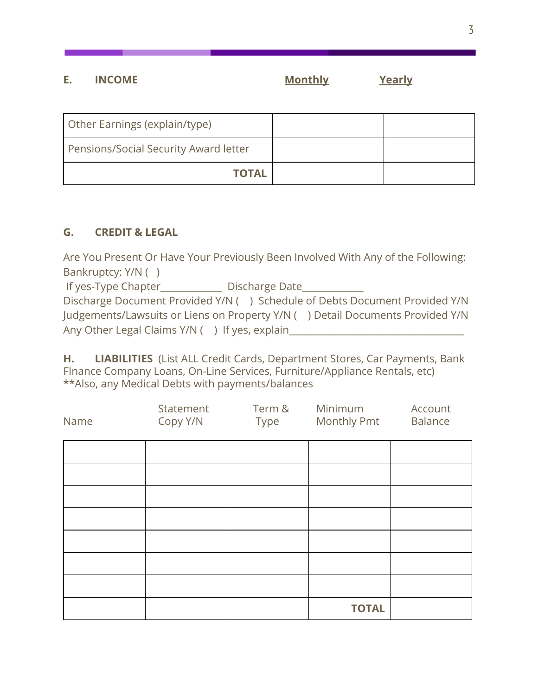### **E. INCOME Monthly Yearly**

| Other Earnings (explain/type)         |  |
|---------------------------------------|--|
| Pensions/Social Security Award letter |  |
| <b>TOTAL</b>                          |  |

### **G. CREDIT & LEGAL**

Are You Present Or Have Your Previously Been Involved With Any of the Following: Bankruptcy: Y/N ( )

If yes-Type Chapter\_\_\_\_\_\_\_\_\_\_\_\_\_\_\_ Discharge Date\_\_\_\_\_\_\_\_\_\_\_\_

Discharge Document Provided Y/N ( ) Schedule of Debts Document Provided Y/N Judgements/Lawsuits or Liens on Property Y/N ( ) Detail Documents Provided Y/N Any Other Legal Claims Y/N ( ) If yes, explain

**H. LIABILITIES** (List ALL Credit Cards, Department Stores, Car Payments, Bank FInance Company Loans, On-Line Services, Furniture/Appliance Rentals, etc) \*\*Also, any Medical Debts with payments/balances

| Name | Statement<br>Copy Y/N | Term &<br>Type | Minimum<br>Monthly Pmt | Account<br><b>Balance</b> |
|------|-----------------------|----------------|------------------------|---------------------------|
|      |                       |                |                        |                           |
|      |                       |                |                        |                           |
|      |                       |                |                        |                           |
|      |                       |                |                        |                           |
|      |                       |                |                        |                           |
|      |                       |                |                        |                           |
|      |                       |                |                        |                           |
|      |                       |                | <b>TOTAL</b>           |                           |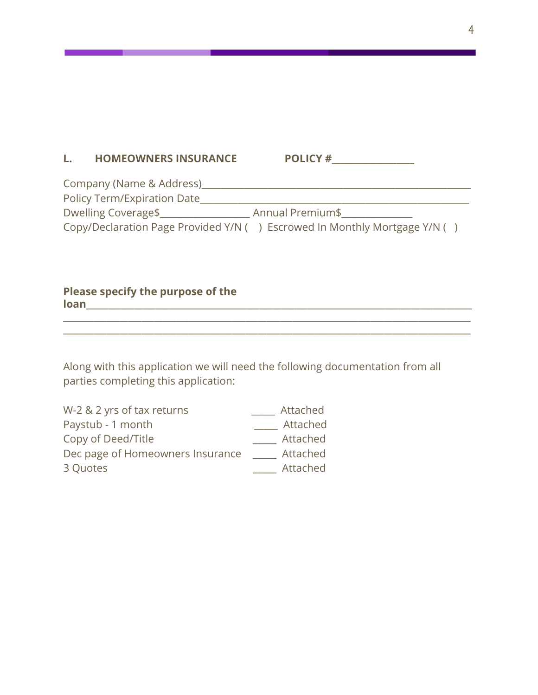#### L. HOMEOWNERS INSURANCE POLICY #

| Company (Name & Address)    |                                                                           |
|-----------------------------|---------------------------------------------------------------------------|
| Policy Term/Expiration Date |                                                                           |
| Dwelling Coverage\$         | Annual Premium\$                                                          |
|                             | Copy/Declaration Page Provided Y/N () Escrowed In Monthly Mortgage Y/N () |

**\_\_\_\_\_\_\_\_\_\_\_\_\_\_\_\_\_\_\_\_\_\_\_\_\_\_\_\_\_\_\_\_\_\_\_\_\_\_\_\_\_\_\_\_\_\_\_\_\_\_\_\_\_\_\_\_\_\_\_\_\_\_\_\_\_\_\_\_\_\_\_\_\_\_\_\_\_\_\_\_\_\_\_\_\_\_\_\_\_\_\_\_\_\_ \_\_\_\_\_\_\_\_\_\_\_\_\_\_\_\_\_\_\_\_\_\_\_\_\_\_\_\_\_\_\_\_\_\_\_\_\_\_\_\_\_\_\_\_\_\_\_\_\_\_\_\_\_\_\_\_\_\_\_\_\_\_\_\_\_\_\_\_\_\_\_\_\_\_\_\_\_\_\_\_\_\_\_\_\_\_\_\_\_\_\_\_\_\_**

#### **Please specify the purpose of the loan**

Along with this application we will need the following documentation from all parties completing this application:

| W-2 & 2 yrs of tax returns       | Attached |
|----------------------------------|----------|
| Paystub - 1 month                | Attached |
| Copy of Deed/Title               | Attached |
| Dec page of Homeowners Insurance | Attached |
| 3 Quotes                         | Attached |
|                                  |          |